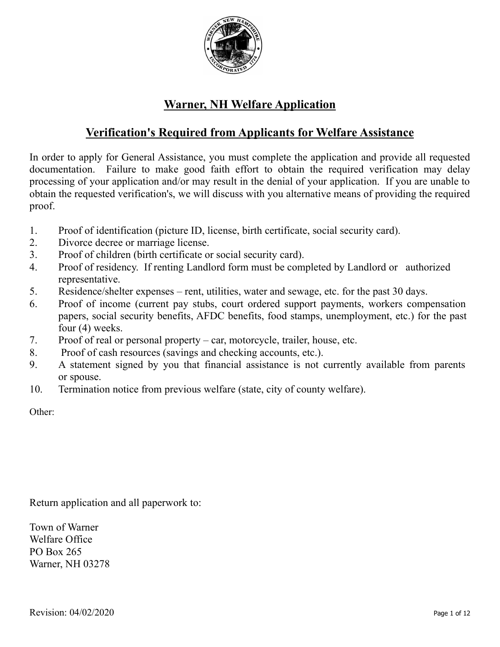

# **Warner, NH Welfare Application**

## **Verification's Required from Applicants for Welfare Assistance**

In order to apply for General Assistance, you must complete the application and provide all requested documentation. Failure to make good faith effort to obtain the required verification may delay processing of your application and/or may result in the denial of your application. If you are unable to obtain the requested verification's, we will discuss with you alternative means of providing the required proof.

- 1. Proof of identification (picture ID, license, birth certificate, social security card).
- 2. Divorce decree or marriage license.
- 3. Proof of children (birth certificate or social security card).
- 4. Proof of residency. If renting Landlord form must be completed by Landlord or authorized representative.
- 5. Residence/shelter expenses rent, utilities, water and sewage, etc. for the past 30 days.
- 6. Proof of income (current pay stubs, court ordered support payments, workers compensation papers, social security benefits, AFDC benefits, food stamps, unemployment, etc.) for the past four (4) weeks.
- 7. Proof of real or personal property car, motorcycle, trailer, house, etc.
- 8. Proof of cash resources (savings and checking accounts, etc.).
- 9. A statement signed by you that financial assistance is not currently available from parents or spouse.
- 10. Termination notice from previous welfare (state, city of county welfare).

Other:

Return application and all paperwork to:

Town of Warner Welfare Office PO Box 265 Warner, NH 03278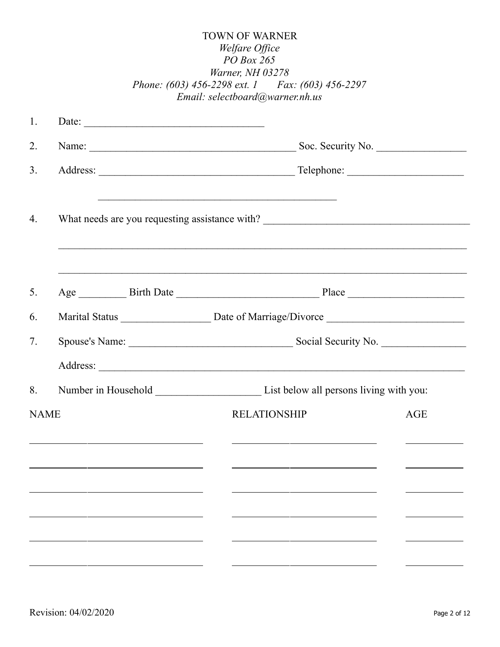| <b>TOWN OF WARNER</b>                            |
|--------------------------------------------------|
| <i>Welfare Office</i>                            |
| PO Box 265                                       |
| Warner, NH 03278                                 |
| Phone: (603) 456-2298 ext. 1 Fax: (603) 456-2297 |
| Email: selectboard@warner.nh.us                  |

| 1.          | Date: $\qquad \qquad$ |                                                                                   |            |
|-------------|-----------------------|-----------------------------------------------------------------------------------|------------|
| 2.          |                       | Name: Soc. Security No.                                                           |            |
| 3.          |                       |                                                                                   |            |
| 4.          |                       | What needs are you requesting assistance with? __________________________________ |            |
| 5.          |                       |                                                                                   |            |
| 6.          |                       |                                                                                   |            |
| 7.          |                       |                                                                                   |            |
|             |                       |                                                                                   |            |
| 8.          |                       |                                                                                   |            |
| <b>NAME</b> |                       | <b>RELATIONSHIP</b>                                                               | <b>AGE</b> |
|             |                       |                                                                                   |            |
|             |                       |                                                                                   |            |
|             |                       |                                                                                   |            |
|             |                       |                                                                                   |            |
|             |                       |                                                                                   |            |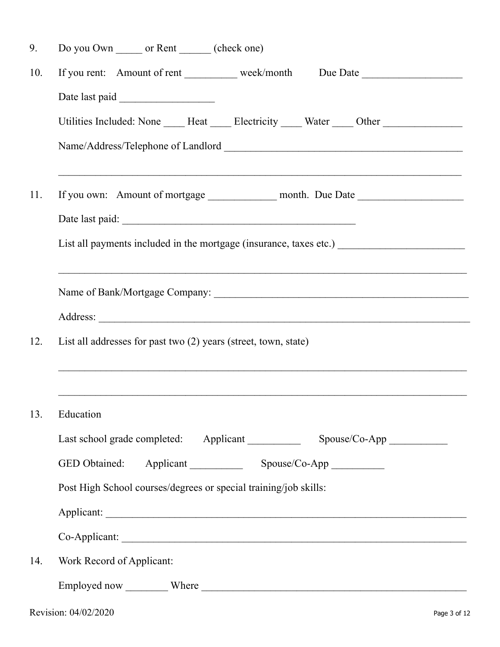| 9.  | Do you Own _______ or Rent _______ (check one)                                                                                                |
|-----|-----------------------------------------------------------------------------------------------------------------------------------------------|
| 10. | If you rent: Amount of rent ___________ week/month Due Date ____________________                                                              |
|     |                                                                                                                                               |
|     | Utilities Included: None _____ Heat _____ Electricity _____ Water _____ Other _____________________                                           |
|     |                                                                                                                                               |
| 11. | <u> 1989 - John Stone, amerikansk politiker (d. 1989)</u><br>If you own: Amount of mortgage _________________ month. Due Date _______________ |
|     |                                                                                                                                               |
|     |                                                                                                                                               |
|     |                                                                                                                                               |
|     |                                                                                                                                               |
| 12. | List all addresses for past two $(2)$ years (street, town, state)                                                                             |
|     |                                                                                                                                               |
|     |                                                                                                                                               |
| 13. | Education                                                                                                                                     |
|     |                                                                                                                                               |
|     |                                                                                                                                               |
|     | Post High School courses/degrees or special training/job skills:                                                                              |
|     |                                                                                                                                               |
|     |                                                                                                                                               |
| 14. | Work Record of Applicant:                                                                                                                     |
|     |                                                                                                                                               |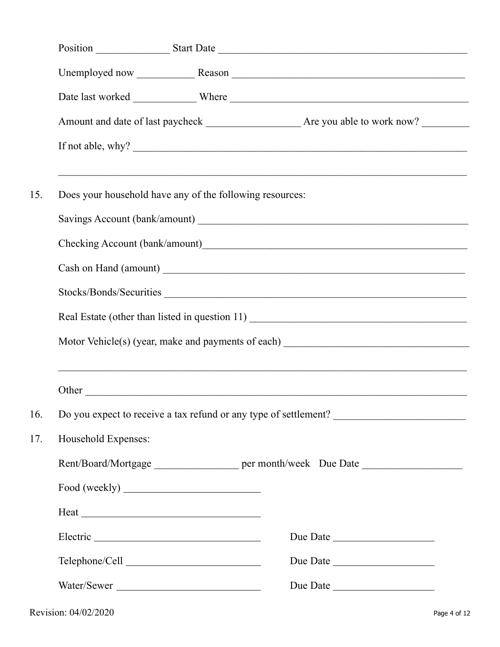| 15. |                         | Does your household have any of the following resources:                         |  |  |  |  |  |
|-----|-------------------------|----------------------------------------------------------------------------------|--|--|--|--|--|
|     |                         |                                                                                  |  |  |  |  |  |
|     |                         |                                                                                  |  |  |  |  |  |
|     | Stocks/Bonds/Securities |                                                                                  |  |  |  |  |  |
|     |                         |                                                                                  |  |  |  |  |  |
|     |                         |                                                                                  |  |  |  |  |  |
|     |                         | ,我们也不会有什么。""我们的人,我们也不会有什么?""我们的人,我们也不会有什么?""我们的人,我们也不会有什么?""我们的人,我们也不会有什么?""我们的人 |  |  |  |  |  |
| 16. |                         | Do you expect to receive a tax refund or any type of settlement?                 |  |  |  |  |  |
| 17. | Household Expenses:     |                                                                                  |  |  |  |  |  |
|     |                         | Rent/Board/Mortgage _____________________ per month/week Due Date ______________ |  |  |  |  |  |
|     |                         |                                                                                  |  |  |  |  |  |
|     |                         | Heat                                                                             |  |  |  |  |  |
|     |                         | Due Date                                                                         |  |  |  |  |  |
|     |                         | Due Date                                                                         |  |  |  |  |  |
|     |                         | Water/Sewer<br>Due Date                                                          |  |  |  |  |  |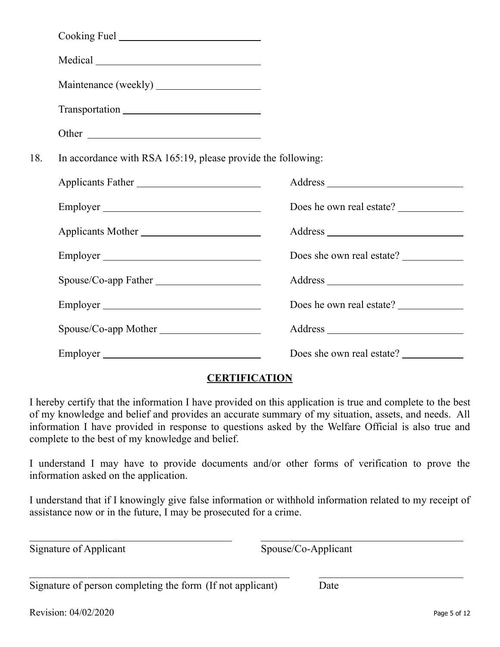|     | Cooking Fuel                                                 |                           |
|-----|--------------------------------------------------------------|---------------------------|
|     |                                                              |                           |
|     |                                                              |                           |
|     |                                                              |                           |
|     | Other                                                        |                           |
| 18. | In accordance with RSA 165:19, please provide the following: |                           |
|     | Applicants Father                                            |                           |
|     | Employer                                                     | Does he own real estate?  |
|     | Applicants Mother                                            |                           |
|     |                                                              | Does she own real estate? |
|     |                                                              |                           |
|     |                                                              | Does he own real estate?  |
|     | Spouse/Co-app Mother                                         |                           |
|     | Employer                                                     | Does she own real estate? |

## **CERTIFICATION**

I hereby certify that the information I have provided on this application is true and complete to the best of my knowledge and belief and provides an accurate summary of my situation, assets, and needs. All information I have provided in response to questions asked by the Welfare Official is also true and complete to the best of my knowledge and belief.

I understand I may have to provide documents and/or other forms of verification to prove the information asked on the application.

I understand that if I knowingly give false information or withhold information related to my receipt of assistance now or in the future, I may be prosecuted for a crime.

Signature of Applicant Spouse/Co-Applicant

 $\overline{a}$ 

 $\overline{a}$ 

Signature of person completing the form (If not applicant) Date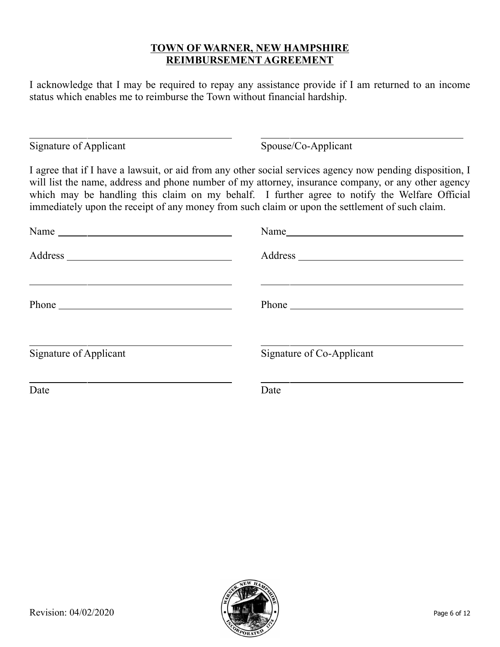## **TOWN OF WARNER, NEW HAMPSHIRE REIMBURSEMENT AGREEMENT**

I acknowledge that I may be required to repay any assistance provide if I am returned to an income status which enables me to reimburse the Town without financial hardship.

Signature of Applicant Spouse/Co-Applicant

ı

I agree that if I have a lawsuit, or aid from any other social services agency now pending disposition, I will list the name, address and phone number of my attorney, insurance company, or any other agency which may be handling this claim on my behalf. I further agree to notify the Welfare Official immediately upon the receipt of any money from such claim or upon the settlement of such claim.

| Name                   |                                                                                                                                                                                                                                     |
|------------------------|-------------------------------------------------------------------------------------------------------------------------------------------------------------------------------------------------------------------------------------|
|                        |                                                                                                                                                                                                                                     |
|                        | Phone <u>and</u> the state of the state of the state of the state of the state of the state of the state of the state of the state of the state of the state of the state of the state of the state of the state of the state of th |
| Signature of Applicant | Signature of Co-Applicant                                                                                                                                                                                                           |
| Date                   | Date                                                                                                                                                                                                                                |

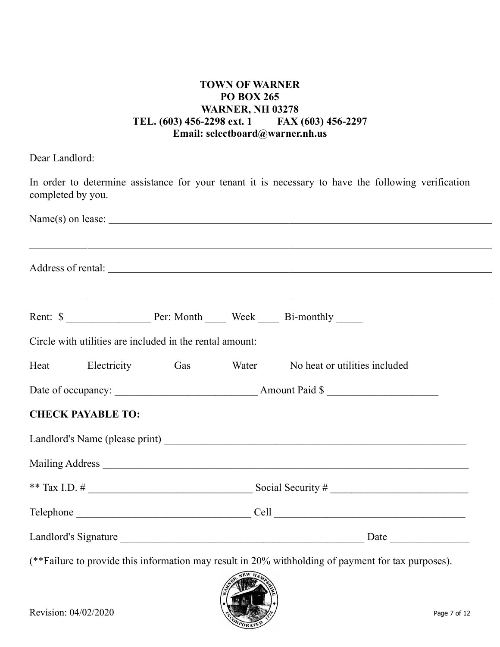## **TOWN OF WARNER PO BOX 265 WARNER, NH 03278 TEL. (603) 456-2298 ext. 1 FAX (603) 456-2297 Email: selectboard@warner.nh.us**

Dear Landlord:

| completed by you.                                        |  |  | In order to determine assistance for your tenant it is necessary to have the following verification |  |
|----------------------------------------------------------|--|--|-----------------------------------------------------------------------------------------------------|--|
|                                                          |  |  | Name(s) on lease:                                                                                   |  |
|                                                          |  |  | ,我们也不会有什么。""我们的人,我们也不会有什么?""我们的人,我们也不会有什么?""我们的人,我们也不会有什么?""我们的人,我们也不会有什么?""我们的人                    |  |
|                                                          |  |  | <u> 1989 - Johann Stoff, amerikansk politiker (d. 1989)</u>                                         |  |
| Circle with utilities are included in the rental amount: |  |  |                                                                                                     |  |
| Heat Electricity Gas Water                               |  |  | No heat or utilities included                                                                       |  |
|                                                          |  |  |                                                                                                     |  |
| <b>CHECK PAYABLE TO:</b>                                 |  |  |                                                                                                     |  |
|                                                          |  |  |                                                                                                     |  |
|                                                          |  |  |                                                                                                     |  |
|                                                          |  |  |                                                                                                     |  |
|                                                          |  |  |                                                                                                     |  |
|                                                          |  |  |                                                                                                     |  |

(\*\*Failure to provide this information may result in 20% withholding of payment for tax purposes).

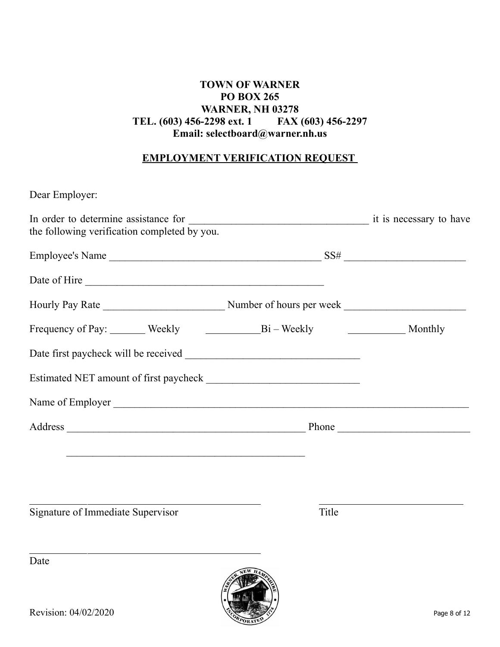## **TOWN OF WARNER PO BOX 265 WARNER, NH 03278**<br>**6-2298 ext. 1 FAX (603) 456-2297 TEL. (603) 456-2298 ext. 1 Email: selectboard@warner.nh.us**

## **EMPLOYMENT VERIFICATION REQUEST**

| Dear Employer:                               |       |  |
|----------------------------------------------|-------|--|
| the following verification completed by you. |       |  |
|                                              |       |  |
|                                              |       |  |
|                                              |       |  |
|                                              |       |  |
|                                              |       |  |
|                                              |       |  |
|                                              |       |  |
|                                              |       |  |
|                                              |       |  |
|                                              |       |  |
| Signature of Immediate Supervisor            | Title |  |
|                                              |       |  |

Date

 $\overline{a}$ 

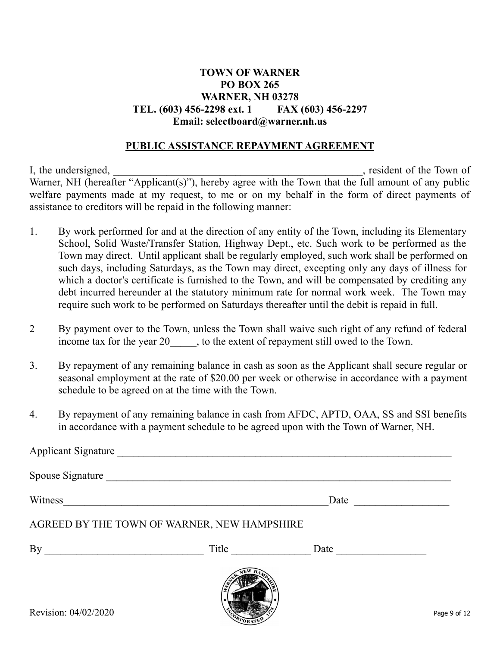## **TOWN OF WARNER PO BOX 265 WARNER, NH 03278 TEL. (603) 456-2298 ext. 1 FAX (603) 456-2297 Email: selectboard@warner.nh.us**

#### **PUBLIC ASSISTANCE REPAYMENT AGREEMENT**

I, the undersigned, \_\_\_\_\_\_\_\_\_\_\_\_\_\_\_\_\_\_\_\_\_\_\_\_\_\_\_\_\_\_\_\_\_\_\_\_\_\_\_\_\_\_\_\_\_\_\_, resident of the Town of Warner, NH (hereafter "Applicant(s)"), hereby agree with the Town that the full amount of any public welfare payments made at my request, to me or on my behalf in the form of direct payments of assistance to creditors will be repaid in the following manner:

- 1. By work performed for and at the direction of any entity of the Town, including its Elementary School, Solid Waste/Transfer Station, Highway Dept., etc. Such work to be performed as the Town may direct. Until applicant shall be regularly employed, such work shall be performed on such days, including Saturdays, as the Town may direct, excepting only any days of illness for which a doctor's certificate is furnished to the Town, and will be compensated by crediting any debt incurred hereunder at the statutory minimum rate for normal work week. The Town may require such work to be performed on Saturdays thereafter until the debit is repaid in full.
- 2 By payment over to the Town, unless the Town shall waive such right of any refund of federal income tax for the year 20  $\ldots$ , to the extent of repayment still owed to the Town.
- 3. By repayment of any remaining balance in cash as soon as the Applicant shall secure regular or seasonal employment at the rate of \$20.00 per week or otherwise in accordance with a payment schedule to be agreed on at the time with the Town.
- 4. By repayment of any remaining balance in cash from AFDC, APTD, OAA, SS and SSI benefits in accordance with a payment schedule to be agreed upon with the Town of Warner, NH.

| Applicant Signature                         |       |                                                                                                                                                                                                                               |  |
|---------------------------------------------|-------|-------------------------------------------------------------------------------------------------------------------------------------------------------------------------------------------------------------------------------|--|
| Spouse Signature                            |       |                                                                                                                                                                                                                               |  |
| Witness                                     |       | Date                                                                                                                                                                                                                          |  |
| AGREED BY THE TOWN OF WARNER, NEW HAMPSHIRE |       |                                                                                                                                                                                                                               |  |
| By                                          | Title | Date and the same state of the state of the state of the state of the state of the state of the state of the state of the state of the state of the state of the state of the state of the state of the state of the state of |  |
|                                             |       |                                                                                                                                                                                                                               |  |

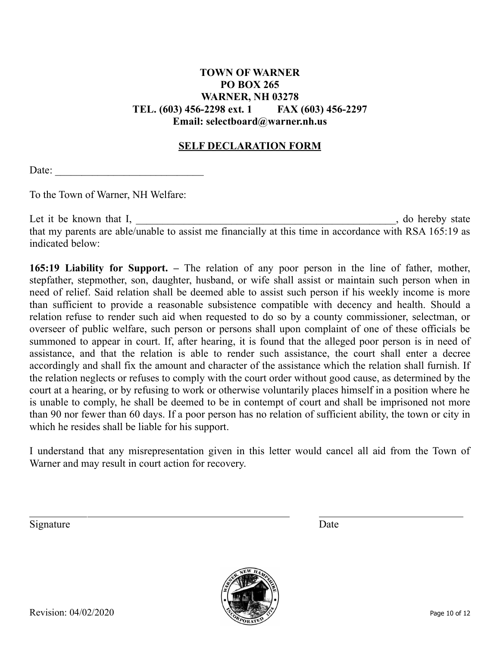# **PO BOX 265 WARNER, NH 03278 TEL. (603) 456-2298 ext. 1 FAX (603) 456-2297 Email: selectboard@warner.nh.us**

**TOWN OF WARNER**

## **SELF DECLARATION FORM**

Date:

To the Town of Warner, NH Welfare:

Let it be known that I, the state is a set of the state of the state of the state of the state of the state of the state of the state of the state of the state of the state of the state of the state of the state of the sta that my parents are able/unable to assist me financially at this time in accordance with RSA 165:19 as indicated below:

**165:19 Liability for Support. –** The relation of any poor person in the line of father, mother, stepfather, stepmother, son, daughter, husband, or wife shall assist or maintain such person when in need of relief. Said relation shall be deemed able to assist such person if his weekly income is more than sufficient to provide a reasonable subsistence compatible with decency and health. Should a relation refuse to render such aid when requested to do so by a county commissioner, selectman, or overseer of public welfare, such person or persons shall upon complaint of one of these officials be summoned to appear in court. If, after hearing, it is found that the alleged poor person is in need of assistance, and that the relation is able to render such assistance, the court shall enter a decree accordingly and shall fix the amount and character of the assistance which the relation shall furnish. If the relation neglects or refuses to comply with the court order without good cause, as determined by the court at a hearing, or by refusing to work or otherwise voluntarily places himself in a position where he is unable to comply, he shall be deemed to be in contempt of court and shall be imprisoned not more than 90 nor fewer than 60 days. If a poor person has no relation of sufficient ability, the town or city in which he resides shall be liable for his support.

I understand that any misrepresentation given in this letter would cancel all aid from the Town of Warner and may result in court action for recovery.

Signature Date

 $\overline{a}$ 

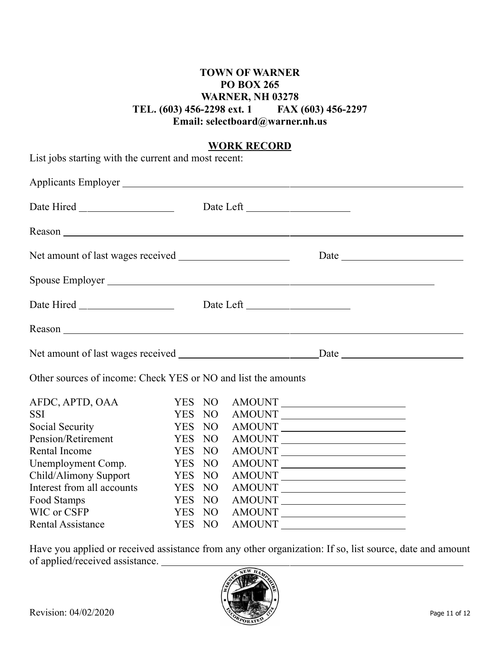## **TOWN OF WARNER PO BOX 265 WARNER, NH 03278 TEL. (603) 456-2298 ext. 1 FAX (603) 456-2297 Email: selectboard@warner.nh.us**

## **WORK RECORD**

| List jobs starting with the current and most recent:          |                      |                 |               |                                                                                                                       |
|---------------------------------------------------------------|----------------------|-----------------|---------------|-----------------------------------------------------------------------------------------------------------------------|
|                                                               |                      |                 |               |                                                                                                                       |
|                                                               |                      |                 |               |                                                                                                                       |
|                                                               |                      |                 |               |                                                                                                                       |
|                                                               |                      |                 |               |                                                                                                                       |
|                                                               |                      |                 |               |                                                                                                                       |
|                                                               |                      |                 |               |                                                                                                                       |
|                                                               |                      |                 |               |                                                                                                                       |
|                                                               |                      |                 |               |                                                                                                                       |
| Other sources of income: Check YES or NO and list the amounts |                      |                 |               |                                                                                                                       |
| AFDC, APTD, OAA<br><b>SSI</b>                                 | YES NO<br><b>YES</b> | N <sub>O</sub>  |               | AMOUNT<br>AMOUNT                                                                                                      |
| Social Security                                               | <b>YES</b>           | N <sub>O</sub>  |               | AMOUNT                                                                                                                |
| Pension/Retirement                                            | <b>YES</b>           | NO <sub>1</sub> |               |                                                                                                                       |
| <b>Rental Income</b>                                          | <b>YES</b>           | NO <sub>1</sub> | <b>AMOUNT</b> | <u> 1989 - Jan Samuel Barbara, poeta esperanto-</u>                                                                   |
| Unemployment Comp.                                            | <b>YES</b>           | N <sub>O</sub>  |               | AMOUNT                                                                                                                |
| Child/Alimony Support                                         | <b>YES</b>           | N <sub>O</sub>  |               | AMOUNT                                                                                                                |
| Interest from all accounts                                    | <b>YES</b>           | N <sub>O</sub>  |               | AMOUNT                                                                                                                |
| Food Stamps                                                   | <b>YES</b>           | N <sub>O</sub>  |               | AMOUNT                                                                                                                |
| WIC or CSFP                                                   | <b>YES</b>           | N <sub>O</sub>  | <b>AMOUNT</b> | <u> 1989 - Johann Barn, mars ann an t-Amhain an t-Amhain an t-Amhain an t-Amhain an t-Amhain an t-Amhain an t-Amh</u> |
| <b>Rental Assistance</b>                                      | <b>YES</b>           | NO              | <b>AMOUNT</b> | <u>and the state of the state of the state of the state of the state of the state of the state of the state of th</u> |

Have you applied or received assistance from any other organization: If so, list source, date and amount of applied/received assistance.